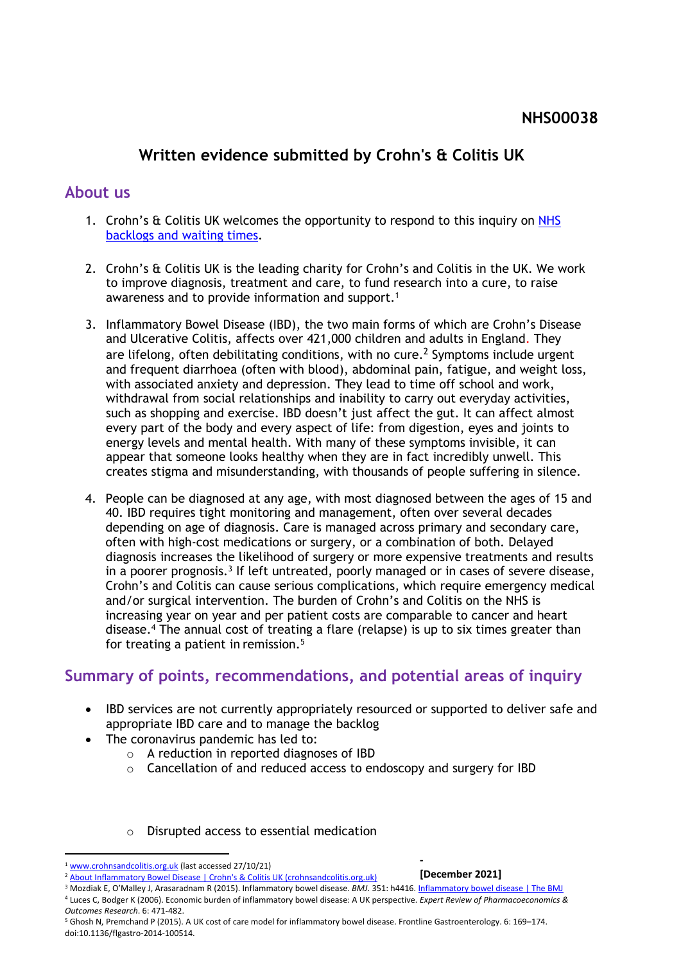# **Written evidence submitted by Crohn's & Colitis UK**

### **About us**

- 1. Crohn's [&](https://committees.parliament.uk/work/1582/nhs-backlogs-and-waiting-times/) C[ol](https://committees.parliament.uk/work/1582/nhs-backlogs-and-waiting-times/)itis UK welcomes the opportunity to respond to this inquiry on [NHS](https://committees.parliament.uk/work/1582/nhs-backlogs-and-waiting-times/) [backlogs](https://committees.parliament.uk/work/1582/nhs-backlogs-and-waiting-times/) [and](https://committees.parliament.uk/work/1582/nhs-backlogs-and-waiting-times/) [waiting](https://committees.parliament.uk/work/1582/nhs-backlogs-and-waiting-times/) [times.](https://committees.parliament.uk/work/1582/nhs-backlogs-and-waiting-times/)
- 2. Crohn's & Colitis UK is the leading charity for Crohn's and Colitis in the UK. We work to improve diagnosis, treatment and care, to fund research into a cure, to raise awareness and to provide information and support.<sup>1</sup>
- 3. Inflammatory Bowel Disease (IBD), the two main forms of which are Crohn's Disease and Ulcerative Colitis, affects over 421,000 children and adults in England. They are lifelong, often debilitating conditions, with no cure.<sup>2</sup> Symptoms include urgent and frequent diarrhoea (often with blood), abdominal pain, fatigue, and weight loss, with associated anxiety and depression. They lead to time off school and work, withdrawal from social relationships and inability to carry out everyday activities, such as shopping and exercise. IBD doesn't just affect the gut. It can affect almost every part of the body and every aspect of life: from digestion, eyes and joints to energy levels and mental health. With many of these symptoms invisible, it can appear that someone looks healthy when they are in fact incredibly unwell. This creates stigma and misunderstanding, with thousands of people suffering in silence.
- 4. People can be diagnosed at any age, with most diagnosed between the ages of 15 and 40. IBD requires tight monitoring and management, often over several decades depending on age of diagnosis. Care is managed across primary and secondary care, often with high-cost medications or surgery, or a combination of both. Delayed diagnosis increases the likelihood of surgery or more expensive treatments and results in a poorer prognosis.<sup>3</sup> If left untreated, poorly managed or in cases of severe disease, Crohn's and Colitis can cause serious complications, which require emergency medical and/or surgical intervention. The burden of Crohn's and Colitis on the NHS is increasing year on year and per patient costs are comparable to cancer and heart disease.<sup>4</sup> The annual cost of treating a flare (relapse) is up to six times greater than for treating a patient in remission.<sup>5</sup>

## **Summary of points, recommendations, and potential areas of inquiry**

- IBD services are not currently appropriately resourced or supported to deliver safe and appropriate IBD care and to manage the backlog
- The coronavirus pandemic has led to:
	- o A reduction in reported diagnoses of IBD
	- o Cancellation of and reduced access to endoscopy and surgery for IBD
	- o Disrupted access to essential medication

**[December 2021]**

**-**

<sup>1</sup> [www.crohnsandcolitis.org.uk](http://www.crohnsandcolitis.org.uk/) (last accessed 27/10/21)

[About](https://www.crohnsandcolitis.org.uk/about-crohns-and-colitis) [Inflammatory](https://www.crohnsandcolitis.org.uk/about-crohns-and-colitis) [Bowel](https://www.crohnsandcolitis.org.uk/about-crohns-and-colitis) [Disease](https://www.crohnsandcolitis.org.uk/about-crohns-and-colitis) [|](https://www.crohnsandcolitis.org.uk/about-crohns-and-colitis) [Crohn's](https://www.crohnsandcolitis.org.uk/about-crohns-and-colitis) [&](https://www.crohnsandcolitis.org.uk/about-crohns-and-colitis) [Colitis](https://www.crohnsandcolitis.org.uk/about-crohns-and-colitis) [UK](https://www.crohnsandcolitis.org.uk/about-crohns-and-colitis) [\(crohnsandcolitis.org.uk\)](https://www.crohnsandcolitis.org.uk/about-crohns-and-colitis)

<sup>3</sup> Mozdiak E, O'Malley J, Arasaradnam R (2015). Inflammatory bowel disease. *BMJ*. 351: h4416. [Inflammatory](https://www.bmj.com/content/351/bmj.h4416) [bowel](https://www.bmj.com/content/351/bmj.h4416) [disease](https://www.bmj.com/content/351/bmj.h4416) [|](https://www.bmj.com/content/351/bmj.h4416) [The](https://www.bmj.com/content/351/bmj.h4416) [BMJ](https://www.bmj.com/content/351/bmj.h4416) <sup>4</sup> Luces C, Bodger K (2006). Economic burden of inflammatory bowel disease: A UK perspective. *Expert Review of Pharmacoeconomics & Outcomes Research*. 6: 471-482.

<sup>5</sup> Ghosh N, Premchand P (2015). A UK cost of care model for inflammatory bowel disease. Frontline Gastroenterology. 6: 169–174. doi:10.1136/flgastro-2014-100514.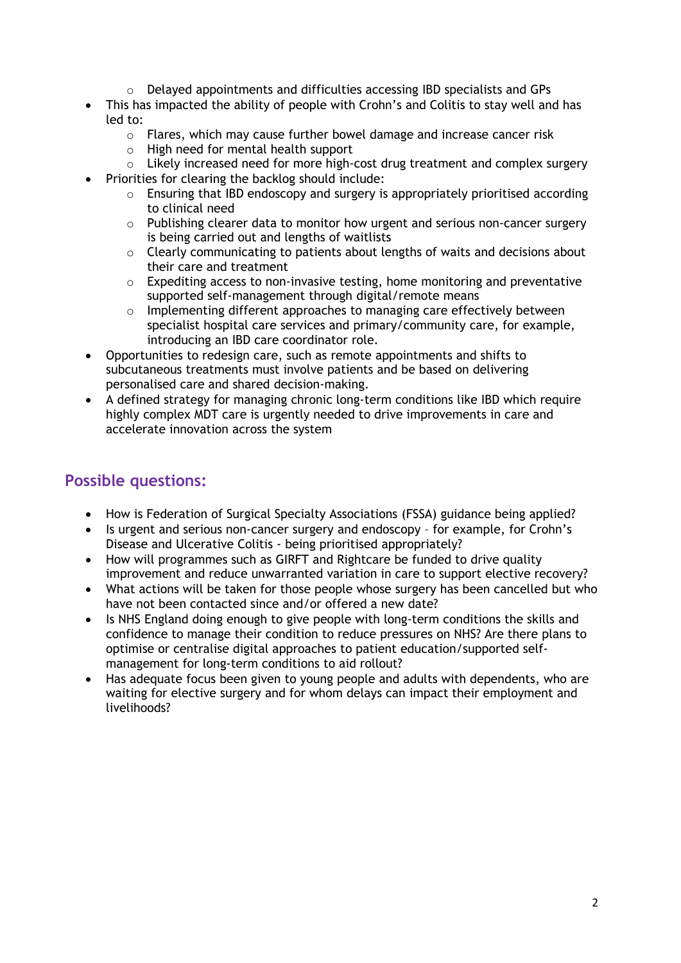- $\circ$  Delayed appointments and difficulties accessing IBD specialists and GPs
- This has impacted the ability of people with Crohn's and Colitis to stay well and has led to:
	- $\circ$  Flares, which may cause further bowel damage and increase cancer risk
	- o High need for mental health support
	- o Likely increased need for more high-cost drug treatment and complex surgery
- Priorities for clearing the backlog should include:
	- o Ensuring that IBD endoscopy and surgery is appropriately prioritised according to clinical need
	- o Publishing clearer data to monitor how urgent and serious non-cancer surgery is being carried out and lengths of waitlists
	- o Clearly communicating to patients about lengths of waits and decisions about their care and treatment
	- o Expediting access to non-invasive testing, home monitoring and preventative supported self-management through digital/remote means
	- $\circ$  Implementing different approaches to managing care effectively between specialist hospital care services and primary/community care, for example, introducing an IBD care coordinator role.
- Opportunities to redesign care, such as remote appointments and shifts to subcutaneous treatments must involve patients and be based on delivering personalised care and shared decision-making.
- A defined strategy for managing chronic long-term conditions like IBD which require highly complex MDT care is urgently needed to drive improvements in care and accelerate innovation across the system

# **Possible questions:**

- How is Federation of Surgical Specialty Associations (FSSA) guidance being applied?
- Is urgent and serious non-cancer surgery and endoscopy for example, for Crohn's Disease and Ulcerative Colitis - being prioritised appropriately?
- How will programmes such as GIRFT and Rightcare be funded to drive quality improvement and reduce unwarranted variation in care to support elective recovery?
- What actions will be taken for those people whose surgery has been cancelled but who have not been contacted since and/or offered a new date?
- Is NHS England doing enough to give people with long-term conditions the skills and confidence to manage their condition to reduce pressures on NHS? Are there plans to optimise or centralise digital approaches to patient education/supported selfmanagement for long-term conditions to aid rollout?
- Has adequate focus been given to young people and adults with dependents, who are waiting for elective surgery and for whom delays can impact their employment and livelihoods?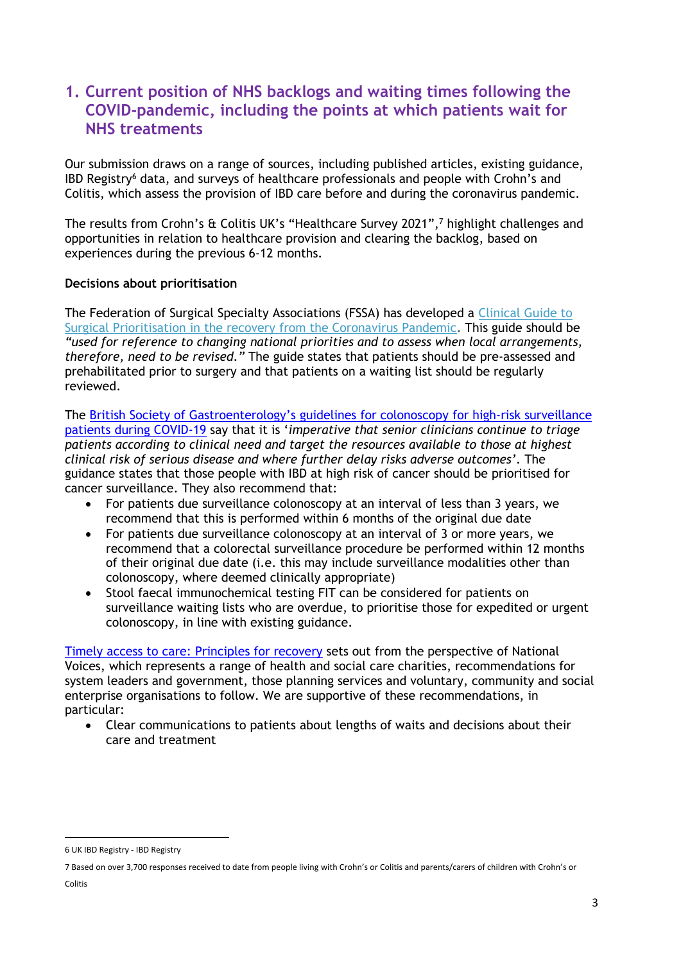## **1. Current position of NHS backlogs and waiting times following the COVID-pandemic, including the points at which patients wait for NHS treatments**

Our submission draws on a range of sources, including published articles, existing guidance, IBD Registry<sup>6</sup> data, and surveys of healthcare professionals and people with Crohn's and Colitis, which assess the provision of IBD care before and during the coronavirus pandemic.

The results from Crohn's & Colitis UK's "Healthcare Survey 2021",<sup>7</sup> highlight challenges and opportunities in relation to healthcare provision and clearing the backlog, based on experiences during the previous 6-12 months.

#### **Decisions about prioritisation**

The Federation of Surgical Specialty Associations (FSSA) has developed a [Clinical](https://fssa.org.uk/_userfiles/pages/files/covid19/prioritisation_master_261121.pdf) [Guide](https://fssa.org.uk/_userfiles/pages/files/covid19/prioritisation_master_261121.pdf) [to](https://fssa.org.uk/_userfiles/pages/files/covid19/prioritisation_master_261121.pdf) [Surgical](https://fssa.org.uk/_userfiles/pages/files/covid19/prioritisation_master_261121.pdf) [Prioritisation](https://fssa.org.uk/_userfiles/pages/files/covid19/prioritisation_master_261121.pdf) [in](https://fssa.org.uk/_userfiles/pages/files/covid19/prioritisation_master_261121.pdf) [the](https://fssa.org.uk/_userfiles/pages/files/covid19/prioritisation_master_261121.pdf) [recovery](https://fssa.org.uk/_userfiles/pages/files/covid19/prioritisation_master_261121.pdf) [from](https://fssa.org.uk/_userfiles/pages/files/covid19/prioritisation_master_261121.pdf) [the](https://fssa.org.uk/_userfiles/pages/files/covid19/prioritisation_master_261121.pdf) [Coronavirus](https://fssa.org.uk/_userfiles/pages/files/covid19/prioritisation_master_261121.pdf) [Pandemic](https://fssa.org.uk/_userfiles/pages/files/covid19/prioritisation_master_261121.pdf)**.** This guide should be *"used for reference to changing national priorities and to assess when local arrangements, therefore, need to be revised."* The guide states that patients should be pre-assessed and prehabilitated prior to surgery and that patients on a waiting list should be regularly reviewed.

The [British](https://www.bsg.org.uk/covid-19-advice/an-update-to-information-and-guidance-for-endoscopy-services-in-the-covid-19-pandemic-2/) [Society](https://www.bsg.org.uk/covid-19-advice/an-update-to-information-and-guidance-for-endoscopy-services-in-the-covid-19-pandemic-2/) [of](https://www.bsg.org.uk/covid-19-advice/an-update-to-information-and-guidance-for-endoscopy-services-in-the-covid-19-pandemic-2/) [Gastroenterology's](https://www.bsg.org.uk/covid-19-advice/an-update-to-information-and-guidance-for-endoscopy-services-in-the-covid-19-pandemic-2/) [guidelines](https://www.bsg.org.uk/covid-19-advice/an-update-to-information-and-guidance-for-endoscopy-services-in-the-covid-19-pandemic-2/) [for](https://www.bsg.org.uk/covid-19-advice/an-update-to-information-and-guidance-for-endoscopy-services-in-the-covid-19-pandemic-2/) [colonoscopy](https://www.bsg.org.uk/covid-19-advice/an-update-to-information-and-guidance-for-endoscopy-services-in-the-covid-19-pandemic-2/) [for](https://www.bsg.org.uk/covid-19-advice/an-update-to-information-and-guidance-for-endoscopy-services-in-the-covid-19-pandemic-2/) [high-risk](https://www.bsg.org.uk/covid-19-advice/an-update-to-information-and-guidance-for-endoscopy-services-in-the-covid-19-pandemic-2/) [surveillance](https://www.bsg.org.uk/covid-19-advice/an-update-to-information-and-guidance-for-endoscopy-services-in-the-covid-19-pandemic-2/) [patients](https://www.bsg.org.uk/covid-19-advice/an-update-to-information-and-guidance-for-endoscopy-services-in-the-covid-19-pandemic-2/) [during](https://www.bsg.org.uk/covid-19-advice/an-update-to-information-and-guidance-for-endoscopy-services-in-the-covid-19-pandemic-2/) [COVID-19](https://www.bsg.org.uk/covid-19-advice/an-update-to-information-and-guidance-for-endoscopy-services-in-the-covid-19-pandemic-2/) say that it is '*imperative that senior clinicians continue to triage patients according to clinical need and target the resources available to those at highest clinical risk of serious disease and where further delay risks adverse outcomes'*. The guidance states that those people with IBD at high risk of cancer should be prioritised for cancer surveillance. They also recommend that:

- For patients due surveillance colonoscopy at an interval of less than 3 years, we recommend that this is performed within 6 months of the original due date
- For patients due surveillance colonoscopy at an interval of 3 or more years, we recommend that a colorectal surveillance procedure be performed within 12 months of their original due date (i.e. this may include surveillance modalities other than colonoscopy, where deemed clinically appropriate)
- Stool faecal immunochemical testing FIT can be considered for patients on surveillance waiting lists who are overdue, to prioritise those for expedited or urgent colonoscopy, in line with existing guidance.

[Timely](https://nationalvoices.org.uk/sites/default/files/public/publications/timely_access_to_care_final.pdf) [access](https://nationalvoices.org.uk/sites/default/files/public/publications/timely_access_to_care_final.pdf) [to](https://nationalvoices.org.uk/sites/default/files/public/publications/timely_access_to_care_final.pdf) [care:](https://nationalvoices.org.uk/sites/default/files/public/publications/timely_access_to_care_final.pdf) [Principles](https://nationalvoices.org.uk/sites/default/files/public/publications/timely_access_to_care_final.pdf) [for](https://nationalvoices.org.uk/sites/default/files/public/publications/timely_access_to_care_final.pdf) [recovery](https://nationalvoices.org.uk/sites/default/files/public/publications/timely_access_to_care_final.pdf) sets out from the perspective of National Voices, which represents a range of health and social care charities, recommendations for system leaders and government, those planning services and voluntary, community and social enterprise organisations to follow. We are supportive of these recommendations, in particular:

 Clear communications to patients about lengths of waits and decisions about their care and treatment

<sup>6</sup> [UK](https://ibdregistry.org.uk/) [IBD](https://ibdregistry.org.uk/) [Registry](https://ibdregistry.org.uk/) [-](https://ibdregistry.org.uk/) [IBD](https://ibdregistry.org.uk/) [Registry](https://ibdregistry.org.uk/)

<sup>7</sup> Based on over 3,700 responses received to date from people living with Crohn's or Colitis and parents/carers of children with Crohn's or Colitis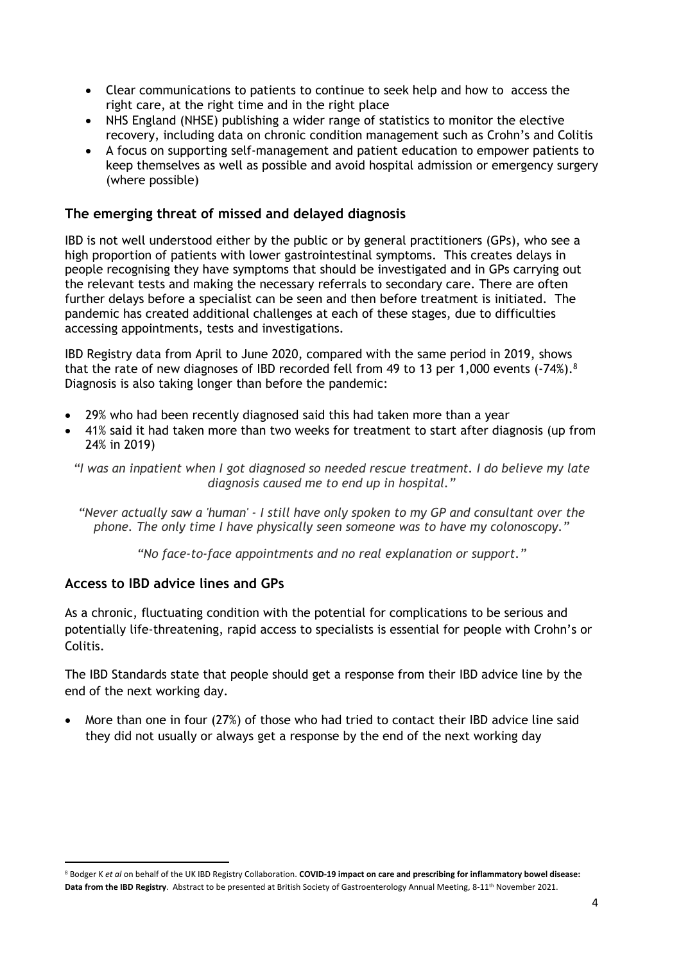- Clear communications to patients to continue to seek help and how to access the right care, at the right time and in the right place
- NHS England (NHSE) publishing a wider range of statistics to monitor the elective recovery, including data on chronic condition management such as Crohn's and Colitis
- A focus on supporting self-management and patient education to empower patients to keep themselves as well as possible and avoid hospital admission or emergency surgery (where possible)

#### **The emerging threat of missed and delayed diagnosis**

IBD is not well understood either by the public or by general practitioners (GPs), who see a high proportion of patients with lower gastrointestinal symptoms. This creates delays in people recognising they have symptoms that should be investigated and in GPs carrying out the relevant tests and making the necessary referrals to secondary care. There are often further delays before a specialist can be seen and then before treatment is initiated. The pandemic has created additional challenges at each of these stages, due to difficulties accessing appointments, tests and investigations.

IBD Registry data from April to June 2020, compared with the same period in 2019, shows that the rate of new diagnoses of IBD recorded fell from 49 to 13 per 1,000 events (-74%).<sup>8</sup> Diagnosis is also taking longer than before the pandemic:

- 29% who had been recently diagnosed said this had taken more than a year
- 41% said it had taken more than two weeks for treatment to start after diagnosis (up from 24% in 2019)

*"I was an inpatient when I got diagnosed so needed rescue treatment. I do believe my late diagnosis caused me to end up in hospital."*

*"Never actually saw a 'human' - I still have only spoken to my GP and consultant over the phone. The only time I have physically seen someone was to have my colonoscopy."*

*"No face-to-face appointments and no real explanation or support."*

#### **Access to IBD advice lines and GPs**

As a chronic, fluctuating condition with the potential for complications to be serious and potentially life-threatening, rapid access to specialists is essential for people with Crohn's or Colitis.

The IBD Standards state that people should get a response from their IBD advice line by the end of the next working day.

 More than one in four (27%) of those who had tried to contact their IBD advice line said they did not usually or always get a response by the end of the next working day

<sup>8</sup> Bodger K *et al* on behalf of the UK IBD Registry Collaboration. **COVID-19 impact on care and prescribing for inflammatory bowel disease: Data from the IBD Registry**. Abstract to be presented at British Society of Gastroenterology Annual Meeting, 8-11th November 2021.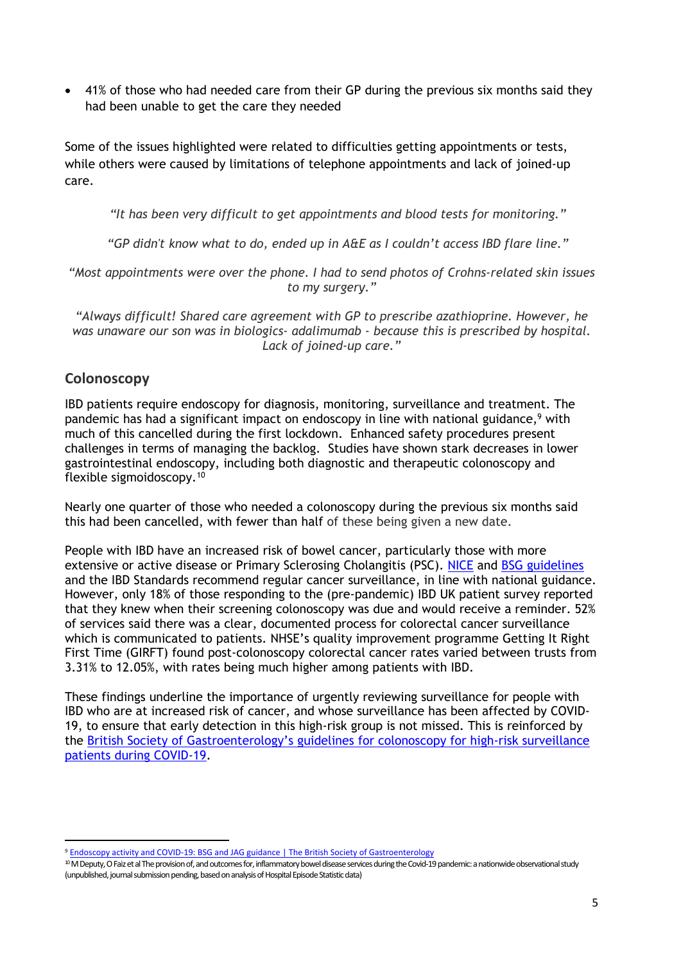41% of those who had needed care from their GP during the previous six months said they had been unable to get the care they needed

Some of the issues highlighted were related to difficulties getting appointments or tests, while others were caused by limitations of telephone appointments and lack of joined-up care.

*"It has been very difficult to get appointments and blood tests for monitoring."*

*"GP didn't know what to do, ended up in A&E as I couldn't access IBD flare line."*

*"Most appointments were over the phone. I had to send photos of Crohns-related skin issues to my surgery."*

*"Always difficult! Shared care agreement with GP to prescribe azathioprine. However, he was unaware our son was in biologics- adalimumab - because this is prescribed by hospital. Lack of joined-up care."*

### **Colonoscopy**

IBD patients require endoscopy for diagnosis, monitoring, surveillance and treatment. The pandemic has had a significant impact on endoscopy in line with national guidance,<sup>9</sup> with much of this cancelled during the first lockdown. Enhanced safety procedures present challenges in terms of managing the backlog. Studies have shown stark decreases in lower gastrointestinal endoscopy, including both diagnostic and therapeutic colonoscopy and flexible sigmoidoscopy.<sup>10</sup>

Nearly one quarter of those who needed a colonoscopy during the previous six months said this had been cancelled, with fewer than half of these being given a new date.

People with IBD have an increased risk of bowel cancer, particularly those with more extensive or active disease or Primary Sclerosing Cholangitis (PSC). [NICE](https://www.nice.org.uk/guidance/cg118/evidence/cg118-colonoscopic-surveillance-for-prevention-of-colorectal-cancer-in-people-with-ulcerative-colitis-crohns-disease-or-adenomas-full-guideline2) and [BSG](https://www.bsg.org.uk/wp-content/uploads/2019/12/BSG-IBD-Guidelines-2019.pdf) [guidelines](https://www.bsg.org.uk/wp-content/uploads/2019/12/BSG-IBD-Guidelines-2019.pdf) and the IBD Standards recommend regular cancer surveillance, in line with national guidance. However, only 18% of those responding to the (pre-pandemic) IBD UK patient survey reported that they knew when their screening colonoscopy was due and would receive a reminder. 52% of services said there was a clear, documented process for colorectal cancer surveillance which is communicated to patients. NHSE's quality improvement programme Getting It Right First Time (GIRFT) found post-colonoscopy colorectal cancer rates varied between trusts from 3.31% to 12.05%, with rates being much higher among patients with IBD.

These findings underline the importance of urgently reviewing surveillance for people with IBD who are at increased risk of cancer, and whose surveillance has been affected by COVID-19, to ensure that early detection in this high-risk group is not missed. This is reinforced by the [British](https://www.bsg.org.uk/covid-19-advice/an-update-to-information-and-guidance-for-endoscopy-services-in-the-covid-19-pandemic-2/) [Society](https://www.bsg.org.uk/covid-19-advice/an-update-to-information-and-guidance-for-endoscopy-services-in-the-covid-19-pandemic-2/) [of](https://www.bsg.org.uk/covid-19-advice/an-update-to-information-and-guidance-for-endoscopy-services-in-the-covid-19-pandemic-2/) [Gastroenterology's](https://www.bsg.org.uk/covid-19-advice/an-update-to-information-and-guidance-for-endoscopy-services-in-the-covid-19-pandemic-2/) [guidelines](https://www.bsg.org.uk/covid-19-advice/an-update-to-information-and-guidance-for-endoscopy-services-in-the-covid-19-pandemic-2/) [for](https://www.bsg.org.uk/covid-19-advice/an-update-to-information-and-guidance-for-endoscopy-services-in-the-covid-19-pandemic-2/) [colonoscopy](https://www.bsg.org.uk/covid-19-advice/an-update-to-information-and-guidance-for-endoscopy-services-in-the-covid-19-pandemic-2/) [for](https://www.bsg.org.uk/covid-19-advice/an-update-to-information-and-guidance-for-endoscopy-services-in-the-covid-19-pandemic-2/) [high-risk](https://www.bsg.org.uk/covid-19-advice/an-update-to-information-and-guidance-for-endoscopy-services-in-the-covid-19-pandemic-2/) [surveillance](https://www.bsg.org.uk/covid-19-advice/an-update-to-information-and-guidance-for-endoscopy-services-in-the-covid-19-pandemic-2/) [patients](https://www.bsg.org.uk/covid-19-advice/an-update-to-information-and-guidance-for-endoscopy-services-in-the-covid-19-pandemic-2/) [during](https://www.bsg.org.uk/covid-19-advice/an-update-to-information-and-guidance-for-endoscopy-services-in-the-covid-19-pandemic-2/) [COVID-19](https://www.bsg.org.uk/covid-19-advice/an-update-to-information-and-guidance-for-endoscopy-services-in-the-covid-19-pandemic-2/).

<sup>9</sup> [Endoscopy](https://www.bsg.org.uk/covid-19-advice/endoscopy-activity-and-covid-19-bsg-and-jag-guidance/) [activity](https://www.bsg.org.uk/covid-19-advice/endoscopy-activity-and-covid-19-bsg-and-jag-guidance/) [and](https://www.bsg.org.uk/covid-19-advice/endoscopy-activity-and-covid-19-bsg-and-jag-guidance/) [COVID-19:](https://www.bsg.org.uk/covid-19-advice/endoscopy-activity-and-covid-19-bsg-and-jag-guidance/) [BSG](https://www.bsg.org.uk/covid-19-advice/endoscopy-activity-and-covid-19-bsg-and-jag-guidance/) [and](https://www.bsg.org.uk/covid-19-advice/endoscopy-activity-and-covid-19-bsg-and-jag-guidance/) [JAG](https://www.bsg.org.uk/covid-19-advice/endoscopy-activity-and-covid-19-bsg-and-jag-guidance/) [guidance](https://www.bsg.org.uk/covid-19-advice/endoscopy-activity-and-covid-19-bsg-and-jag-guidance/) [|](https://www.bsg.org.uk/covid-19-advice/endoscopy-activity-and-covid-19-bsg-and-jag-guidance/) [The](https://www.bsg.org.uk/covid-19-advice/endoscopy-activity-and-covid-19-bsg-and-jag-guidance/) [British](https://www.bsg.org.uk/covid-19-advice/endoscopy-activity-and-covid-19-bsg-and-jag-guidance/) [Society](https://www.bsg.org.uk/covid-19-advice/endoscopy-activity-and-covid-19-bsg-and-jag-guidance/) [of](https://www.bsg.org.uk/covid-19-advice/endoscopy-activity-and-covid-19-bsg-and-jag-guidance/) [Gastroenterology](https://www.bsg.org.uk/covid-19-advice/endoscopy-activity-and-covid-19-bsg-and-jag-guidance/)

<sup>&</sup>lt;sup>10</sup> M Deputy, O Faiz et al The provision of, and outcomes for, inflammatory bowel disease services during the Covid-19 pandemic: a nationwide observational study (unpublished, journal submission pending, based on analysis of Hospital Episode Statistic data)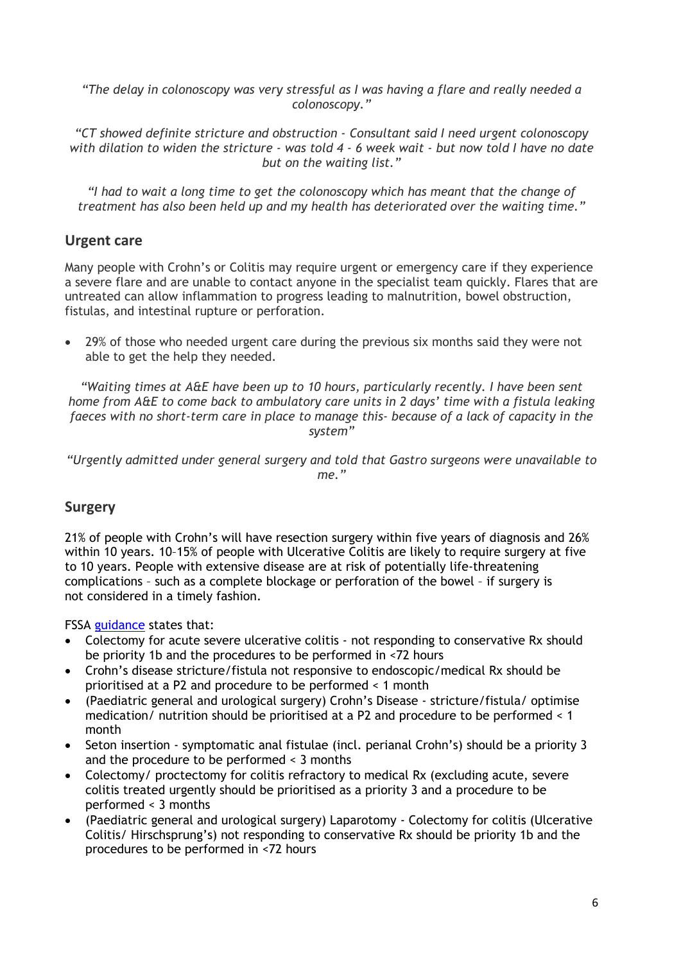*"The delay in colonoscopy was very stressful as I was having a flare and really needed a colonoscopy."*

*"CT showed definite stricture and obstruction - Consultant said I need urgent colonoscopy* with dilation to widen the stricture - was told 4 - 6 week wait - but now told I have no date *but on the waiting list."*

*"I had to wait a long time to get the colonoscopy which has meant that the change of treatment has also been held up and my health has deteriorated over the waiting time."*

### **Urgent care**

Many people with Crohn's or Colitis may require urgent or emergency care if they experience a severe flare and are unable to contact anyone in the specialist team quickly. Flares that are untreated can allow inflammation to progress leading to malnutrition, bowel obstruction, fistulas, and intestinal rupture or perforation.

 29% of those who needed urgent care during the previous six months said they were not able to get the help they needed.

*"Waiting times at A&E have been up to 10 hours, particularly recently. I have been sent home from A&E to come back to ambulatory care units in 2 days' time with a fistula leaking faeces with no short-term care in place to manage this- because of a lack of capacity in the system"*

*"Urgently admitted under general surgery and told that Gastro surgeons were unavailable to me."*

#### **Surgery**

21% of people with Crohn's will have resection surgery within five years of diagnosis and 26% within 10 years. 10–15% of people with Ulcerative Colitis are likely to require surgery at five to 10 years. People with extensive disease are at risk of potentially life-threatening complications – such as a complete blockage or perforation of the bowel – if surgery is not considered in a timely fashion.

FSSA [guidance](https://fssa.org.uk/_userfiles/pages/files/covid19/prioritisation_master_261121.pdf) states that:

- Colectomy for acute severe ulcerative colitis not responding to conservative Rx should be priority 1b and the procedures to be performed in <72 hours
- Crohn's disease stricture/fistula not responsive to endoscopic/medical Rx should be prioritised at a P2 and procedure to be performed < 1 month
- (Paediatric general and urological surgery) Crohn's Disease stricture/fistula/ optimise medication/ nutrition should be prioritised at a P2 and procedure to be performed < 1 month
- Seton insertion symptomatic anal fistulae (incl. perianal Crohn's) should be a priority 3 and the procedure to be performed < 3 months
- Colectomy/ proctectomy for colitis refractory to medical Rx (excluding acute, severe colitis treated urgently should be prioritised as a priority 3 and a procedure to be performed < 3 months
- (Paediatric general and urological surgery) Laparotomy Colectomy for colitis (Ulcerative Colitis/ Hirschsprung's) not responding to conservative Rx should be priority 1b and the procedures to be performed in <72 hours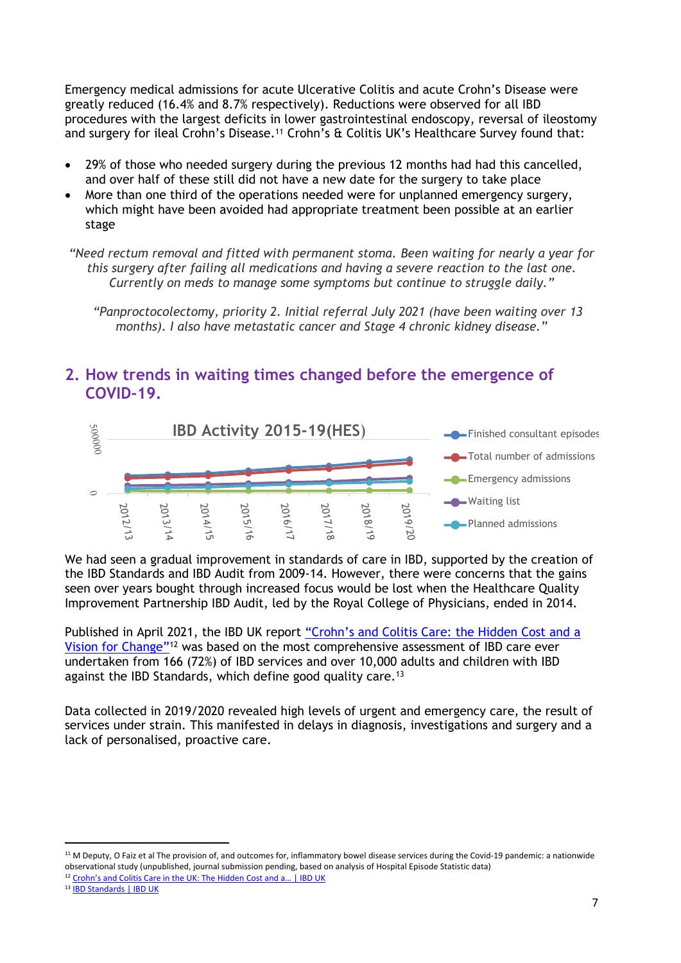Emergency medical admissions for acute Ulcerative Colitis and acute Crohn's Disease were greatly reduced (16.4% and 8.7% respectively). Reductions were observed for all IBD procedures with the largest deficits in lower gastrointestinal endoscopy, reversal of ileostomy and surgery for ileal Crohn's Disease.<sup>11</sup> Crohn's & Colitis UK's Healthcare Survey found that:

- 29% of those who needed surgery during the previous 12 months had had this cancelled, and over half of these still did not have a new date for the surgery to take place
- More than one third of the operations needed were for unplanned emergency surgery, which might have been avoided had appropriate treatment been possible at an earlier stage

*"Need rectum removal and fitted with permanent stoma. Been waiting for nearly a year for this surgery after failing all medications and having a severe reaction to the last one. Currently on meds to manage some symptoms but continue to struggle daily."*

*"Panproctocolectomy, priority 2. Initial referral July 2021 (have been waiting over 13 months). I also have metastatic cancer and Stage 4 chronic kidney disease."*

## **2. How trends in waiting times changed before the emergence of COVID-19.**



We had seen a gradual improvement in standards of care in IBD, supported by the creation of the IBD Standards and IBD Audit from 2009-14. However, there were concerns that the gains seen over years bought through increased focus would be lost when the Healthcare Quality Improvement Partnership IBD Audit, led by the Royal College of Physicians, ended in 2014.

Published in April 2021, the IBD UK report ["Crohn's](https://ibduk.org/reports/crohns-and-colitis-care-in-the-uk-the-hidden-cost-and-a-vision-for-change) [and](https://ibduk.org/reports/crohns-and-colitis-care-in-the-uk-the-hidden-cost-and-a-vision-for-change) [Colitis](https://ibduk.org/reports/crohns-and-colitis-care-in-the-uk-the-hidden-cost-and-a-vision-for-change) [Care:](https://ibduk.org/reports/crohns-and-colitis-care-in-the-uk-the-hidden-cost-and-a-vision-for-change) [the](https://ibduk.org/reports/crohns-and-colitis-care-in-the-uk-the-hidden-cost-and-a-vision-for-change) [Hidden](https://ibduk.org/reports/crohns-and-colitis-care-in-the-uk-the-hidden-cost-and-a-vision-for-change) [Cost](https://ibduk.org/reports/crohns-and-colitis-care-in-the-uk-the-hidden-cost-and-a-vision-for-change) [and](https://ibduk.org/reports/crohns-and-colitis-care-in-the-uk-the-hidden-cost-and-a-vision-for-change) [a](https://ibduk.org/reports/crohns-and-colitis-care-in-the-uk-the-hidden-cost-and-a-vision-for-change) [Vision](https://ibduk.org/reports/crohns-and-colitis-care-in-the-uk-the-hidden-cost-and-a-vision-for-change) [for](https://ibduk.org/reports/crohns-and-colitis-care-in-the-uk-the-hidden-cost-and-a-vision-for-change) [Change"](https://ibduk.org/reports/crohns-and-colitis-care-in-the-uk-the-hidden-cost-and-a-vision-for-change)<sup>12</sup> was based on the most comprehensive assessment of IBD care ever undertaken from 166 (72%) of IBD services and over 10,000 adults and children with IBD against the IBD Standards, which define good quality care.<sup>13</sup>

Data collected in 2019/2020 revealed high levels of urgent and emergency care, the result of services under strain. This manifested in delays in diagnosis, investigations and surgery and a lack of personalised, proactive care.

<sup>11</sup> M Deputy, O Faiz et al The provision of, and outcomes for, inflammatory bowel disease services during the Covid-19 pandemic: a nationwide observational study (unpublished, journal submission pending, based on analysis of Hospital Episode Statistic data)

<sup>&</sup>lt;sup>12</sup> [Crohn's](https://ibduk.org/reports/crohns-and-colitis-care-in-the-uk-the-hidden-cost-and-a-vision-for-change) [and](https://ibduk.org/reports/crohns-and-colitis-care-in-the-uk-the-hidden-cost-and-a-vision-for-change) [Colitis](https://ibduk.org/reports/crohns-and-colitis-care-in-the-uk-the-hidden-cost-and-a-vision-for-change) [Care](https://ibduk.org/reports/crohns-and-colitis-care-in-the-uk-the-hidden-cost-and-a-vision-for-change) [in](https://ibduk.org/reports/crohns-and-colitis-care-in-the-uk-the-hidden-cost-and-a-vision-for-change) [the](https://ibduk.org/reports/crohns-and-colitis-care-in-the-uk-the-hidden-cost-and-a-vision-for-change) [UK:](https://ibduk.org/reports/crohns-and-colitis-care-in-the-uk-the-hidden-cost-and-a-vision-for-change) [The](https://ibduk.org/reports/crohns-and-colitis-care-in-the-uk-the-hidden-cost-and-a-vision-for-change) [Hidden](https://ibduk.org/reports/crohns-and-colitis-care-in-the-uk-the-hidden-cost-and-a-vision-for-change) [Cost](https://ibduk.org/reports/crohns-and-colitis-care-in-the-uk-the-hidden-cost-and-a-vision-for-change) and a... [|](https://ibduk.org/reports/crohns-and-colitis-care-in-the-uk-the-hidden-cost-and-a-vision-for-change) [IBD](https://ibduk.org/reports/crohns-and-colitis-care-in-the-uk-the-hidden-cost-and-a-vision-for-change) [UK](https://ibduk.org/reports/crohns-and-colitis-care-in-the-uk-the-hidden-cost-and-a-vision-for-change)

<sup>13</sup> [IBD](https://ibduk.org/ibd-standards) [Standards](https://ibduk.org/ibd-standards) [|](https://ibduk.org/ibd-standards) [IBD](https://ibduk.org/ibd-standards) [UK](https://ibduk.org/ibd-standards)